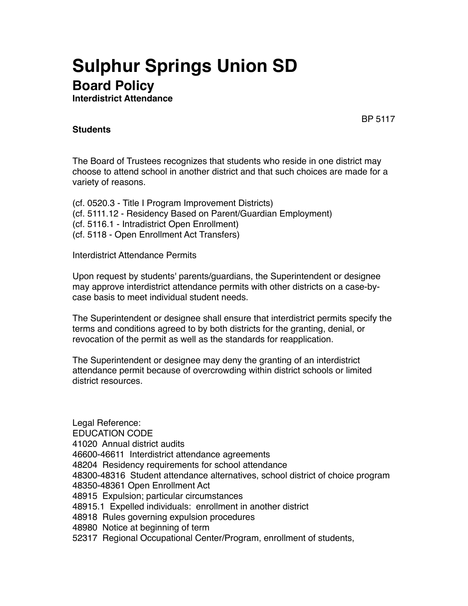## **Sulphur Springs Union SD Board Policy**

**Interdistrict Attendance**

BP 5117

## **Students**

The Board of Trustees recognizes that students who reside in one district may choose to attend school in another district and that such choices are made for a variety of reasons.

(cf. 0520.3 - Title I Program Improvement Districts) (cf. 5111.12 - Residency Based on Parent/Guardian Employment) (cf. 5116.1 - Intradistrict Open Enrollment) (cf. 5118 - Open Enrollment Act Transfers)

Interdistrict Attendance Permits

Upon request by students' parents/guardians, the Superintendent or designee may approve interdistrict attendance permits with other districts on a case-bycase basis to meet individual student needs.

The Superintendent or designee shall ensure that interdistrict permits specify the terms and conditions agreed to by both districts for the granting, denial, or revocation of the permit as well as the standards for reapplication.

The Superintendent or designee may deny the granting of an interdistrict attendance permit because of overcrowding within district schools or limited district resources.

Legal Reference: EDUCATION CODE 41020 Annual district audits 46600-46611 Interdistrict attendance agreements 48204 Residency requirements for school attendance 48300-48316 Student attendance alternatives, school district of choice program 48350-48361 Open Enrollment Act 48915 Expulsion; particular circumstances 48915.1 Expelled individuals: enrollment in another district 48918 Rules governing expulsion procedures 48980 Notice at beginning of term 52317 Regional Occupational Center/Program, enrollment of students,